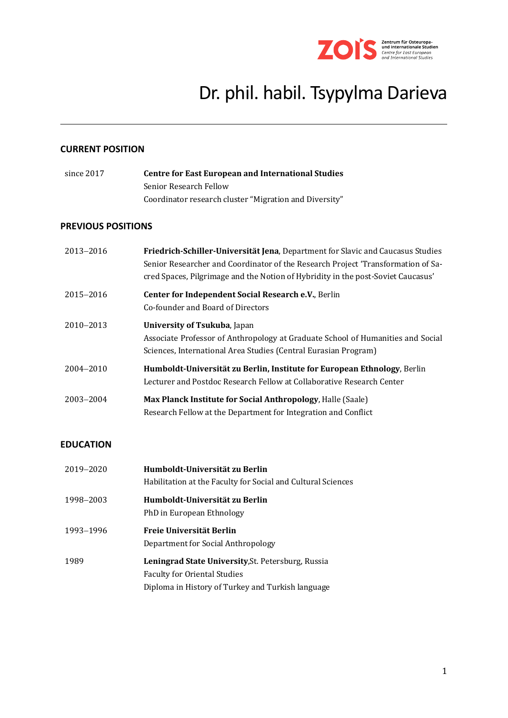

# Dr. phil. habil. Tsypylma Darieva

# **CURRENT POSITION**

| since 2017 | <b>Centre for East European and International Studies</b> |  |
|------------|-----------------------------------------------------------|--|
|            | Senior Research Fellow                                    |  |
|            | Coordinator research cluster "Migration and Diversity"    |  |

## **PREVIOUS POSITIONS**

| 2013-2016 | Friedrich-Schiller-Universität Jena, Department for Slavic and Caucasus Studies<br>Senior Researcher and Coordinator of the Research Project 'Transformation of Sa-<br>cred Spaces, Pilgrimage and the Notion of Hybridity in the post-Soviet Caucasus' |
|-----------|---------------------------------------------------------------------------------------------------------------------------------------------------------------------------------------------------------------------------------------------------------|
| 2015-2016 | Center for Independent Social Research e.V., Berlin<br>Co-founder and Board of Directors                                                                                                                                                                |
| 2010-2013 | <b>University of Tsukuba, Japan</b><br>Associate Professor of Anthropology at Graduate School of Humanities and Social<br>Sciences, International Area Studies (Central Eurasian Program)                                                               |
| 2004-2010 | Humboldt-Universität zu Berlin, Institute for European Ethnology, Berlin<br>Lecturer and Postdoc Research Fellow at Collaborative Research Center                                                                                                       |
| 2003-2004 | Max Planck Institute for Social Anthropology, Halle (Saale)<br>Research Fellow at the Department for Integration and Conflict                                                                                                                           |

## **EDUCATION**

| 2019-2020 | Humboldt-Universität zu Berlin<br>Habilitation at the Faculty for Social and Cultural Sciences                                                        |
|-----------|-------------------------------------------------------------------------------------------------------------------------------------------------------|
| 1998-2003 | Humboldt-Universität zu Berlin<br>PhD in European Ethnology                                                                                           |
| 1993-1996 | Freie Universität Berlin<br>Department for Social Anthropology                                                                                        |
| 1989      | <b>Leningrad State University, St. Petersburg, Russia</b><br><b>Faculty for Oriental Studies</b><br>Diploma in History of Turkey and Turkish language |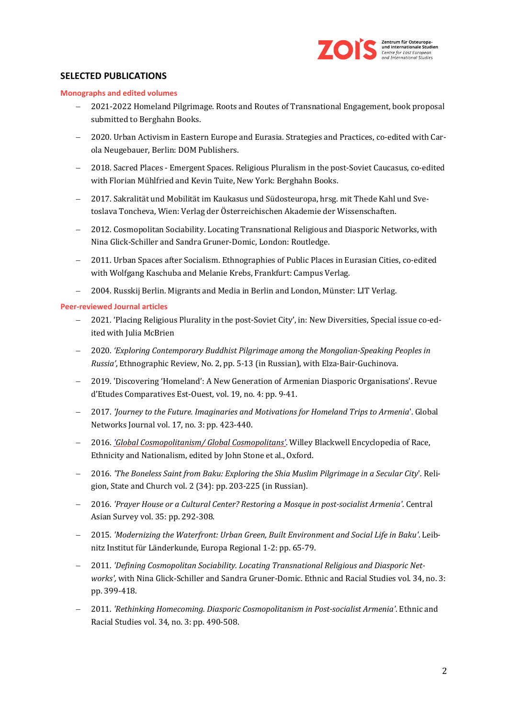

# **SELECTED PUBLICATIONS**

#### **Monographs and edited volumes**

- − 2021-2022 Homeland Pilgrimage. Roots and Routes of Transnational Engagement, book proposal submitted to Berghahn Books.
- − 2020. Urban Activism in Eastern Europe and Eurasia. Strategies and Practices, co-edited with Carola Neugebauer, Berlin: DOM Publishers.
- − 2018. Sacred Places Emergent Spaces. Religious Pluralism in the post-Soviet Caucasus, co-edited with Florian Mühlfried and Kevin Tuite, New York: Berghahn Books.
- − 2017. Sakralität und Mobilität im Kaukasus und Südosteuropa, hrsg. mit Thede Kahl und Svetoslava Toncheva, Wien: Verlag der Österreichischen Akademie der Wissenschaften.
- − 2012. Cosmopolitan Sociability. Locating Transnational Religious and Diasporic Networks, with Nina Glick-Schiller and Sandra Gruner-Domic, London: Routledge.
- − 2011. Urban Spaces after Socialism. Ethnographies of Public Places in Eurasian Cities, co-edited with Wolfgang Kaschuba and Melanie Krebs, Frankfurt: Campus Verlag.
- − 2004. Russkij Berlin. Migrants and Media in Berlin and London, Münster: LIT Verlag.

#### **Peer-reviewed Journal articles**

- − 2021. 'Placing Religious Plurality in the post-Soviet City', in: New Diversities, Special issue co-edited with Julia McBrien
- − 2020. *'Exploring Contemporary Buddhist Pilgrimage among the Mongolian-Speaking Peoples in Russia'*, Ethnographic Review, No. 2, pp. 5-13 (in Russian), with Elza-Bair-Guchinova.
- − 2019. 'Discovering 'Homeland': A New Generation of Armenian Diasporic Organisations'. Revue d'Etudes Comparatives Est-Ouest, vol. 19, no. 4: pp. 9-41.
- − 2017. *'Journey to the Future. Imaginaries and Motivations for Homeland Trips to Armenia*'. Global Networks Journal vol. 17, no. 3: pp. 423-440.
- − 2016. *['Global Cosmopolitanism/ Global Cosmopolitans'](http://onlinelibrary.wiley.com/book/10.1002/9781118663202)*. Willey Blackwell Encyclopedia of Race, Ethnicity and Nationalism, edited by John Stone et al., Oxford.
- − 2016. *'The Boneless Saint from Baku: Exploring the Shia Muslim Pilgrimage in a Secular City*'. Religion, State and Church vol. 2 (34): pp. 203-225 (in Russian).
- − 2016. *'Prayer House or a Cultural Center? Restoring a Mosque in post-socialist Armenia'*. Central Asian Survey vol. 35: pp. 292-308.
- − 2015. *'Modernizing the Waterfront: Urban Green, Built Environment and Social Life in Baku'*. Leibnitz Institut für Länderkunde, Europa Regional 1-2: pp. 65-79.
- − 2011. *'Defining Cosmopolitan Sociability. Locating Transnational Religious and Diasporic Networks',* with Nina Glick-Schiller and Sandra Gruner-Domic. Ethnic and Racial Studies vol. 34, no. 3: pp. 399-418.
- − 2011*. 'Rethinking Homecoming. Diasporic Cosmopolitanism in Post-socialist Armenia'*. Ethnic and Racial Studies vol. 34, no. 3: pp. 490-508.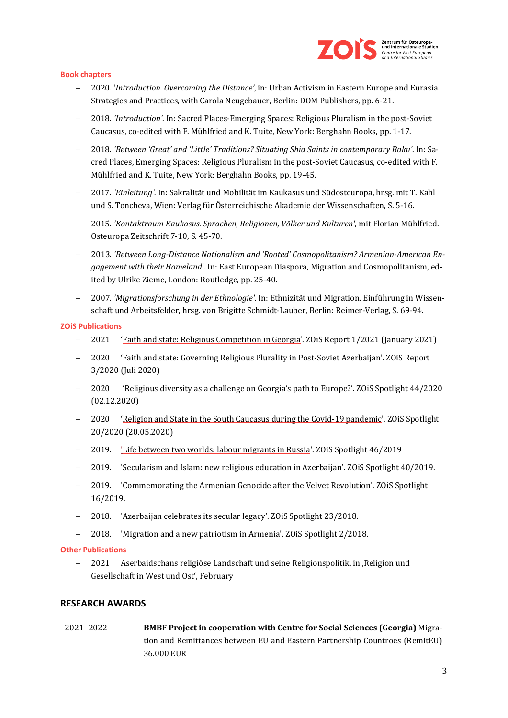

#### **Book chapters**

- − 2020. '*Introduction. Overcoming the Distance'*, in: Urban Activism in Eastern Europe and Eurasia. Strategies and Practices, with Carola Neugebauer, Berlin: DOM Publishers, pp. 6-21.
- − 2018. *'Introduction'*. In: Sacred Places-Emerging Spaces: Religious Pluralism in the post-Soviet Caucasus, co-edited with F. Mühlfried and K. Tuite, New York: Berghahn Books, pp. 1-17.
- − 2018. *'Between 'Great' and 'Little' Traditions? Situating Shia Saints in contemporary Baku'*. In: Sacred Places, Emerging Spaces: Religious Pluralism in the post-Soviet Caucasus, co-edited with F. Mühlfried and K. Tuite, New York: Berghahn Books, pp. 19-45.
- − 2017. *'Einleitung'.* In: Sakralität und Mobilität im Kaukasus und Südosteuropa, hrsg. mit T. Kahl und S. Toncheva, Wien: Verlag für Österreichische Akademie der Wissenschaften, S. 5-16.
- − 2015. *'Kontaktraum Kaukasus. Sprachen, Religionen, Völker und Kulturen'*, mit Florian Mühlfried. Osteuropa Zeitschrift 7-10, S. 45-70.
- − 2013. *'Between Long-Distance Nationalism and 'Rooted' Cosmopolitanism? Armenian-American Engagement with their Homeland*'. In: East European Diaspora, Migration and Cosmopolitanism, edited by Ulrike Zieme, London: Routledge, pp. 25-40.
- − 2007. *'Migrationsforschung in der Ethnologie'*. In: Ethnizität und Migration. Einführung in Wissenschaft und Arbeitsfelder, hrsg. von Brigitte Schmidt-Lauber, Berlin: Reimer-Verlag, S. 69-94.

#### **ZOiS Publications**

- − 2021 ['Faith and state: Religious Competition in Georgia'](https://en.zois-berlin.de/publications/faith-state-and-religious-competition-in-georgia). ZOiS Report 1/2021 (January 2021)
- − 2020 ['Faith and state: Governing Religious Plurality in Post-Soviet Azerbaijan'.](https://en.zois-berlin.de/publications/faith-and-state-governing-religious-plurality-in-post-soviet-azerbaijan) ZOiS Report 3/2020 (Juli 2020)
- − 2020 ['Religious diversity as a challenge on Georgia's path to Europe?'.](https://en.zois-berlin.de/publications/religious-diversity-as-a-challenge-on-georgias-path-to-europe) ZOiS Spotlight 44/2020 (02.12.2020)
- − 2020 ['Religion and State in the South Caucasus during the Covid-19 pandemic'](https://en.zois-berlin.de/publications/religion-and-state-in-the-south-caucasus-during-the-covid-19-pandemic). ZOiS Spotlight 20/2020 (20.05.2020)
- − 2019. ['Life between two worlds: labour migrants in Russia'](https://en.zois-berlin.de/publications/zois-spotlight/archiv-2019/life-between-two-worlds-labour-migrants-in-russia). ZOiS Spotlight 46/2019
- − 2019. ['Secularism and Islam: new religious education in Azerbaijan'](https://en.zois-berlin.de/publications/zois-spotlight/archiv-2019/secularism-and-islam-new-religious-education-in-azerbaijan). ZOiS Spotlight 40/2019.
- − 2019. ['Commemorating the Armenian Genocide after the Velvet Revolution'.](https://en.zois-berlin.de/publications/zois-spotlight/archiv-2019/commemorating-the-armenian-genocide-after-the-velvet-revolution) ZOiS Spotlight 16/2019.
- − 2018. ['Azerbaijan celebrates its secular legacy'](https://en.zois-berlin.de/publications/zois-spotlight/archiv-2018/azerbaijan-celebrates-its-secular-legacy). ZOiS Spotlight 23/2018.
- − 2018. ['Migration and a new patriotism in Armenia'.](https://en.zois-berlin.de/publications/zois-spotlight/archiv-2018/migration-and-a-new-patriotism-in-armenia) ZOiS Spotlight 2/2018.

#### **Other Publications**

− 2021 Aserbaidschans religiöse Landschaft und seine Religionspolitik, in 'Religion und Gesellschaft in West und Ost', February

#### **RESEARCH AWARDS**

2021−2022 **BMBF Project in cooperation with Centre for Social Sciences (Georgia)** Migration and Remittances between EU and Eastern Partnership Countroes (RemitEU) 36.000 EUR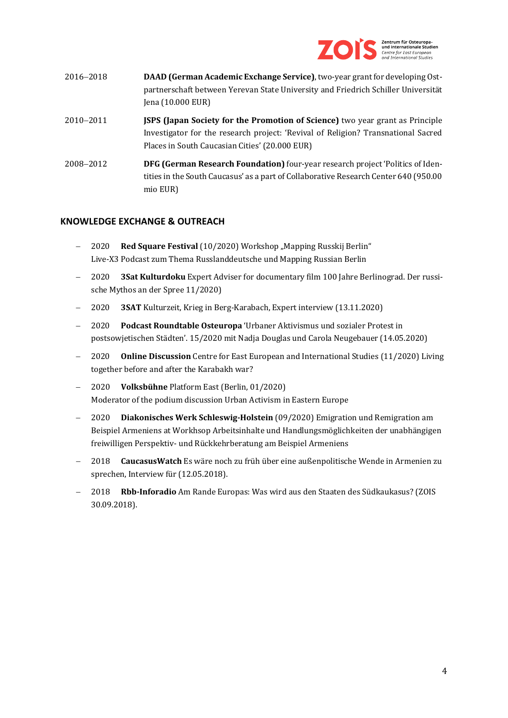

| 2016–2018 | DAAD (German Academic Exchange Service), two-year grant for developing Ost-<br>partnerschaft between Yerevan State University and Friedrich Schiller Universität<br>Jena (10.000 EUR)                                       |
|-----------|-----------------------------------------------------------------------------------------------------------------------------------------------------------------------------------------------------------------------------|
| 2010-2011 | <b>JSPS (Japan Society for the Promotion of Science)</b> two year grant as Principle<br>Investigator for the research project: 'Revival of Religion? Transnational Sacred<br>Places in South Caucasian Cities' (20.000 EUR) |
| 2008–2012 | <b>DFG (German Research Foundation)</b> four-year research project 'Politics of Iden-<br>tities in the South Caucasus' as a part of Collaborative Research Center 640 (950.00)                                              |

# **KNOWLEDGE EXCHANGE & OUTREACH**

mio EUR)

- − 2020 **Red Square Festival** (10/2020) Workshop "Mapping Russkij Berlin" Live-X3 Podcast zum Thema Russlanddeutsche und Mapping Russian Berlin
- − 2020 **3Sat Kulturdoku** Expert Adviser for documentary film 100 Jahre Berlinograd. Der russische Mythos an der Spree 11/2020)
- − 2020 **3SAT** Kulturzeit, Krieg in Berg-Karabach, Expert interview (13.11.2020)
- − 2020 **Podcast Roundtable Osteuropa** 'Urbaner Aktivismus und sozialer Protest in postsowjetischen Städten'. 15/2020 mit Nadja Douglas und Carola Neugebauer (14.05.2020)
- − 2020 **Online Discussion** Centre for East European and International Studies (11/2020) Living together before and after the Karabakh war?
- − 2020 **Volksbühne** Platform East (Berlin, 01/2020) Moderator of the podium discussion Urban Activism in Eastern Europe
- − 2020 **Diakonisches Werk Schleswig-Holstein** (09/2020) Emigration und Remigration am Beispiel Armeniens at Workhsop Arbeitsinhalte und Handlungsmöglichkeiten der unabhängigen freiwilligen Perspektiv- und Rückkehrberatung am Beispiel Armeniens
- − 2018 **CaucasusWatch** Es wäre noch zu früh über eine außenpolitische Wende in Armenien zu sprechen, Interview für (12.05.2018).
- − 2018 **Rbb-Inforadio** Am Rande Europas: Was wird aus den Staaten des Südkaukasus? (ZOIS 30.09.2018).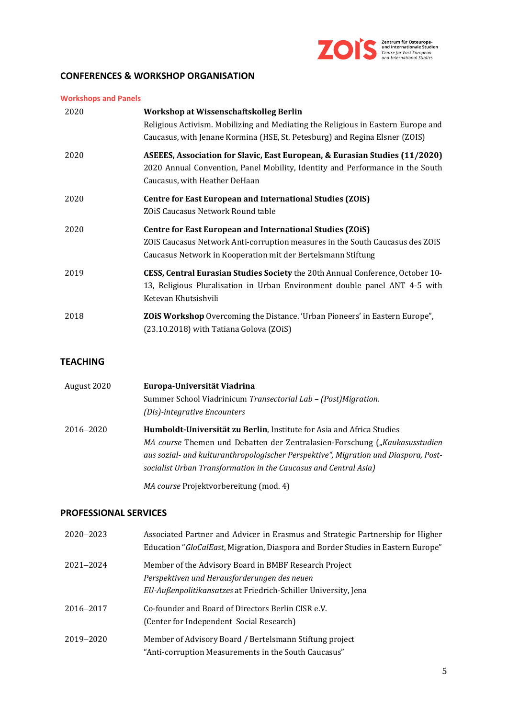

# **CONFERENCES & WORKSHOP ORGANISATION**

| <b>Workshops and Panels</b> |  |
|-----------------------------|--|
|                             |  |

| 2020 | Workshop at Wissenschaftskolleg Berlin<br>Religious Activism. Mobilizing and Mediating the Religious in Eastern Europe and<br>Caucasus, with Jenane Kormina (HSE, St. Petesburg) and Regina Elsner (ZOIS)  |
|------|------------------------------------------------------------------------------------------------------------------------------------------------------------------------------------------------------------|
| 2020 | ASEEES, Association for Slavic, East European, & Eurasian Studies (11/2020)<br>2020 Annual Convention, Panel Mobility, Identity and Performance in the South<br>Caucasus, with Heather DeHaan              |
| 2020 | Centre for East European and International Studies (ZOiS)<br>ZOIS Caucasus Network Round table                                                                                                             |
| 2020 | Centre for East European and International Studies (ZOiS)<br>ZOIS Caucasus Network Anti-corruption measures in the South Caucasus des ZOIS<br>Caucasus Network in Kooperation mit der Bertelsmann Stiftung |
| 2019 | <b>CESS, Central Eurasian Studies Society the 20th Annual Conference, October 10-</b><br>13, Religious Pluralisation in Urban Environment double panel ANT 4-5 with<br>Ketevan Khutsishvili                |
| 2018 | <b>ZOIS Workshop</b> Overcoming the Distance. 'Urban Pioneers' in Eastern Europe",<br>(23.10.2018) with Tatiana Golova (ZOiS)                                                                              |

## **TEACHING**

| August 2020 | Europa-Universität Viadrina                                                         |
|-------------|-------------------------------------------------------------------------------------|
|             | Summer School Viadrinicum Transectorial Lab - (Post) Migration.                     |
|             | (Dis)-integrative Encounters                                                        |
| 2016–2020   | <b>Humboldt-Universität zu Berlin, Institute for Asia and Africa Studies</b>        |
|             | MA course Themen und Debatten der Zentralasien-Forschung ("Kaukasusstudien          |
|             | aus sozial- und kulturanthropologischer Perspektive", Migration und Diaspora, Post- |
|             | socialist Urban Transformation in the Caucasus and Central Asia)                    |
|             | MA course Projektvorbereitung (mod. 4)                                              |

### **PROFESSIONAL SERVICES**

| 2020-2023 | Associated Partner and Advicer in Erasmus and Strategic Partnership for Higher<br>Education "GloCalEast, Migration, Diaspora and Border Studies in Eastern Europe"      |
|-----------|-------------------------------------------------------------------------------------------------------------------------------------------------------------------------|
| 2021-2024 | Member of the Advisory Board in BMBF Research Project<br>Perspektiven und Herausforderungen des neuen<br>EU-Außenpolitikansatzes at Friedrich-Schiller University, Jena |
| 2016-2017 | Co-founder and Board of Directors Berlin CISR e.V.<br>(Center for Independent Social Research)                                                                          |
| 2019-2020 | Member of Advisory Board / Bertelsmann Stiftung project<br>"Anti-corruption Measurements in the South Caucasus"                                                         |